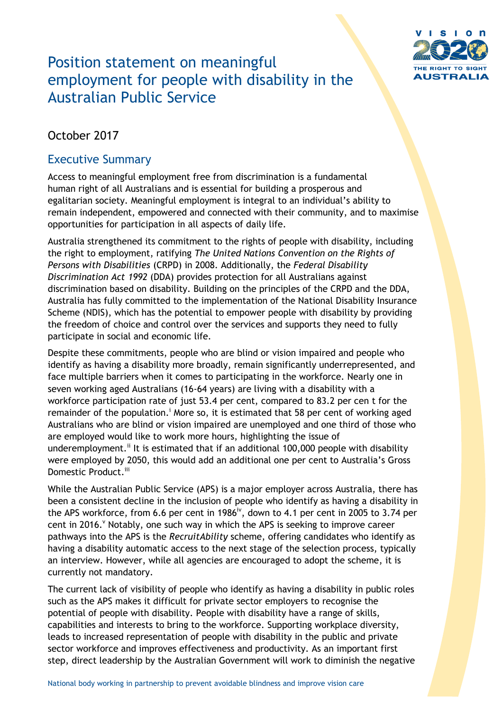

# Position statement on meaningful employment for people with disability in the Australian Public Service

# October 2017

# Executive Summary

Access to meaningful employment free from discrimination is a fundamental human right of all Australians and is essential for building a prosperous and egalitarian society. Meaningful employment is integral to an individual's ability to remain independent, empowered and connected with their community, and to maximise opportunities for participation in all aspects of daily life.

Australia strengthened its commitment to the rights of people with disability, including the right to employment, ratifying *The United Nations Convention on the Rights of Persons with Disabilities* (CRPD) in 2008. Additionally, the *Federal Disability Discrimination Act 1992* (DDA) provides protection for all Australians against discrimination based on disability. Building on the principles of the CRPD and the DDA, Australia has fully committed to the implementation of the National Disability Insurance Scheme (NDIS), which has the potential to empower people with disability by providing the freedom of choice and control over the services and supports they need to fully participate in social and economic life.

Despite these commitments, people who are blind or vision impaired and people who identify as having a disability more broadly, remain significantly underrepresented, and face multiple barriers when it comes to participating in the workforce. Nearly one in seven working aged Australians (16-64 years) are living with a disability with a workforce participation rate of just 53.4 per cent, compared to 83.2 per cen t for the remainder of the population.<sup> $\mathbf{i}$ </sup> More so, it is estimated that 58 per cent of working aged Australians who are blind or vision impaired are unemployed and one third of those who are employed would like to work more hours, highlighting the issue of underemployment.<sup>ii</sup> It is estimated that if an additional 100,000 people with disability were employed by 2050, this would add an additional one per cent to Australia's Gross Domestic Product.<sup>iii</sup>

While the Australian Public Service (APS) is a major employer across Australia, there has been a consistent decline in the inclusion of people who identify as having a disability in the APS workforce, from 6.6 per cent in 1986<sup>iv</sup>, down to 4.1 per cent in 2005 to 3.74 per cent in 2016. Y Notably, one such way in which the APS is seeking to improve career pathways into the APS is the *RecruitAbility* scheme, offering candidates who identify as having a disability automatic access to the next stage of the selection process, typically an interview. However, while all agencies are encouraged to adopt the scheme, it is currently not mandatory.

The current lack of visibility of people who identify as having a disability in public roles such as the APS makes it difficult for private sector employers to recognise the potential of people with disability. People with disability have a range of skills, capabilities and interests to bring to the workforce. Supporting workplace diversity, leads to increased representation of people with disability in the public and private sector workforce and improves effectiveness and productivity. As an important first step, direct leadership by the Australian Government will work to diminish the negative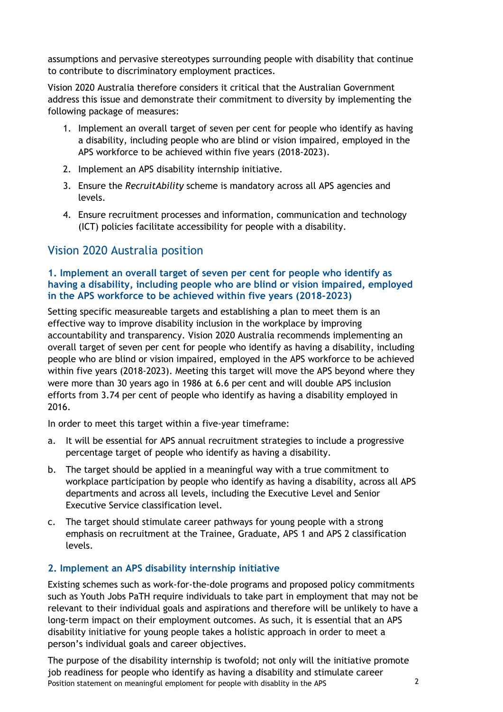assumptions and pervasive stereotypes surrounding people with disability that continue to contribute to discriminatory employment practices.

Vision 2020 Australia therefore considers it critical that the Australian Government address this issue and demonstrate their commitment to diversity by implementing the following package of measures:

- 1. Implement an overall target of seven per cent for people who identify as having a disability, including people who are blind or vision impaired, employed in the APS workforce to be achieved within five years (2018-2023).
- 2. Implement an APS disability internship initiative.
- 3. Ensure the *RecruitAbility* scheme is mandatory across all APS agencies and levels.
- 4. Ensure recruitment processes and information, communication and technology (ICT) policies facilitate accessibility for people with a disability.

## Vision 2020 Australia position

#### **1. Implement an overall target of seven per cent for people who identify as having a disability, including people who are blind or vision impaired, employed in the APS workforce to be achieved within five years (2018-2023)**

Setting specific measureable targets and establishing a plan to meet them is an effective way to improve disability inclusion in the workplace by improving accountability and transparency. Vision 2020 Australia recommends implementing an overall target of seven per cent for people who identify as having a disability, including people who are blind or vision impaired, employed in the APS workforce to be achieved within five years (2018-2023). Meeting this target will move the APS beyond where they were more than 30 years ago in 1986 at 6.6 per cent and will double APS inclusion efforts from 3.74 per cent of people who identify as having a disability employed in 2016.

In order to meet this target within a five-year timeframe:

- a. It will be essential for APS annual recruitment strategies to include a progressive percentage target of people who identify as having a disability.
- b. The target should be applied in a meaningful way with a true commitment to workplace participation by people who identify as having a disability, across all APS departments and across all levels, including the Executive Level and Senior Executive Service classification level.
- c. The target should stimulate career pathways for young people with a strong emphasis on recruitment at the Trainee, Graduate, APS 1 and APS 2 classification levels.

## **2. Implement an APS disability internship initiative**

Existing schemes such as work-for-the-dole programs and proposed policy commitments such as Youth Jobs PaTH require individuals to take part in employment that may not be relevant to their individual goals and aspirations and therefore will be unlikely to have a long-term impact on their employment outcomes. As such, it is essential that an APS disability initiative for young people takes a holistic approach in order to meet a person's individual goals and career objectives.

Position statement on meaningful emploment for people with disablity in the APS 2 The purpose of the disability internship is twofold; not only will the initiative promote job readiness for people who identify as having a disability and stimulate career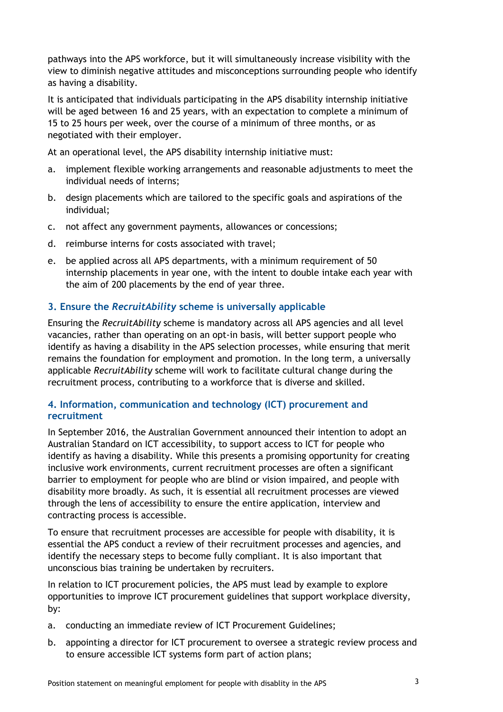pathways into the APS workforce, but it will simultaneously increase visibility with the view to diminish negative attitudes and misconceptions surrounding people who identify as having a disability.

It is anticipated that individuals participating in the APS disability internship initiative will be aged between 16 and 25 years, with an expectation to complete a minimum of 15 to 25 hours per week, over the course of a minimum of three months, or as negotiated with their employer.

At an operational level, the APS disability internship initiative must:

- a. implement flexible working arrangements and reasonable adjustments to meet the individual needs of interns;
- b. design placements which are tailored to the specific goals and aspirations of the individual;
- c. not affect any government payments, allowances or concessions;
- d. reimburse interns for costs associated with travel;
- e. be applied across all APS departments, with a minimum requirement of 50 internship placements in year one, with the intent to double intake each year with the aim of 200 placements by the end of year three.

### **3. Ensure the** *RecruitAbility* **scheme is universally applicable**

Ensuring the *RecruitAbility* scheme is mandatory across all APS agencies and all level vacancies, rather than operating on an opt-in basis, will better support people who identify as having a disability in the APS selection processes, while ensuring that merit remains the foundation for employment and promotion. In the long term, a universally applicable *RecruitAbility* scheme will work to facilitate cultural change during the recruitment process, contributing to a workforce that is diverse and skilled.

#### **4. Information, communication and technology (ICT) procurement and recruitment**

In September 2016, the Australian Government announced their intention to adopt an Australian Standard on ICT accessibility, to support access to ICT for people who identify as having a disability. While this presents a promising opportunity for creating inclusive work environments, current recruitment processes are often a significant barrier to employment for people who are blind or vision impaired, and people with disability more broadly. As such, it is essential all recruitment processes are viewed through the lens of accessibility to ensure the entire application, interview and contracting process is accessible.

To ensure that recruitment processes are accessible for people with disability, it is essential the APS conduct a review of their recruitment processes and agencies, and identify the necessary steps to become fully compliant. It is also important that unconscious bias training be undertaken by recruiters.

In relation to ICT procurement policies, the APS must lead by example to explore opportunities to improve ICT procurement guidelines that support workplace diversity, by:

- a. conducting an immediate review of ICT Procurement Guidelines;
- b. appointing a director for ICT procurement to oversee a strategic review process and to ensure accessible ICT systems form part of action plans;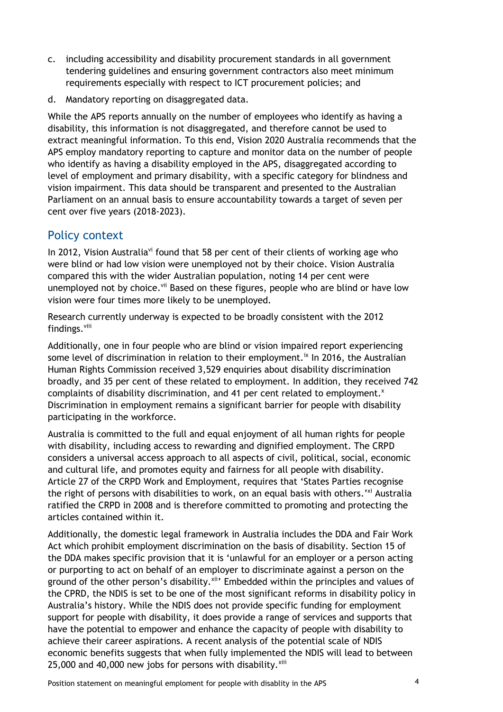- c. including accessibility and disability procurement standards in all government tendering guidelines and ensuring government contractors also meet minimum requirements especially with respect to ICT procurement policies; and
- d. Mandatory reporting on disaggregated data.

While the APS reports annually on the number of employees who identify as having a disability, this information is not disaggregated, and therefore cannot be used to extract meaningful information. To this end, Vision 2020 Australia recommends that the APS employ mandatory reporting to capture and monitor data on the number of people who identify as having a disability employed in the APS, disaggregated according to level of employment and primary disability, with a specific category for blindness and vision impairment. This data should be transparent and presented to the Australian Parliament on an annual basis to ensure accountability towards a target of seven per cent over five years (2018-2023).

## Policy context

In 2012, Vision Australia<sup>vi</sup> found that 58 per cent of their clients of working age who were blind or had low vision were unemployed not by their choice. Vision Australia compared this with the wider Australian population, noting 14 per cent were unemployed not by choice. Vii Based on these figures, people who are blind or have low vision were four times more likely to be unemployed.

Research currently underway is expected to be broadly consistent with the 2012 findings.<sup>viii</sup>

Additionally, one in four people who are blind or vision impaired report experiencing some level of discrimination in relation to their employment.<sup>ix</sup> In 2016, the Australian Human Rights Commission received 3,529 enquiries about disability discrimination broadly, and 35 per cent of these related to employment. In addition, they received 742 complaints of disability discrimination, and 41 per cent related to employment.<sup>x</sup> Discrimination in employment remains a significant barrier for people with disability participating in the workforce.

Australia is committed to the full and equal enjoyment of all human rights for people with disability, including access to rewarding and dignified employment. The CRPD considers a universal access approach to all aspects of civil, political, social, economic and cultural life, and promotes equity and fairness for all people with disability. Article 27 of the CRPD Work and Employment, requires that 'States Parties recognise the right of persons with disabilities to work, on an equal basis with others.<sup>'xi</sup> Australia ratified the CRPD in 2008 and is therefore committed to promoting and protecting the articles contained within it.

Additionally, the domestic legal framework in Australia includes the DDA and Fair Work Act which prohibit employment discrimination on the basis of disability. Section 15 of the DDA makes specific provision that it is 'unlawful for an employer or a person acting or purporting to act on behalf of an employer to discriminate against a person on the ground of the other person's disability.<sup>xii</sup>' Embedded within the principles and values of the CPRD, the NDIS is set to be one of the most significant reforms in disability policy in Australia's history. While the NDIS does not provide specific funding for employment support for people with disability, it does provide a range of services and supports that have the potential to empower and enhance the capacity of people with disability to achieve their career aspirations. A recent analysis of the potential scale of NDIS economic benefits suggests that when fully implemented the NDIS will lead to between 25,000 and 40,000 new jobs for persons with disability. $x^{xiii}$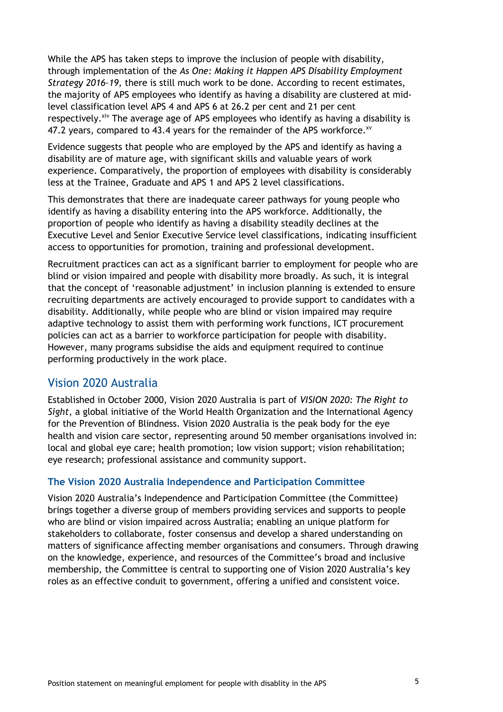While the APS has taken steps to improve the inclusion of people with disability, through implementation of the *As One: Making it Happen APS Disability Employment Strategy 2016–19,* there is still much work to be done*.* According to recent estimates, the majority of APS employees who identify as having a disability are clustered at midlevel classification level APS 4 and APS 6 at 26.2 per cent and 21 per cent respectively.<sup>xiv</sup> The average age of APS employees who identify as having a disability is 47.2 years, compared to 43.4 years for the remainder of the APS workforce.<sup>xv</sup>

Evidence suggests that people who are employed by the APS and identify as having a disability are of mature age, with significant skills and valuable years of work experience. Comparatively, the proportion of employees with disability is considerably less at the Trainee, Graduate and APS 1 and APS 2 level classifications.

This demonstrates that there are inadequate career pathways for young people who identify as having a disability entering into the APS workforce. Additionally, the proportion of people who identify as having a disability steadily declines at the Executive Level and Senior Executive Service level classifications, indicating insufficient access to opportunities for promotion, training and professional development.

Recruitment practices can act as a significant barrier to employment for people who are blind or vision impaired and people with disability more broadly. As such, it is integral that the concept of 'reasonable adjustment' in inclusion planning is extended to ensure recruiting departments are actively encouraged to provide support to candidates with a disability. Additionally, while people who are blind or vision impaired may require adaptive technology to assist them with performing work functions, ICT procurement policies can act as a barrier to workforce participation for people with disability. However, many programs subsidise the aids and equipment required to continue performing productively in the work place.

## Vision 2020 Australia

Established in October 2000, Vision 2020 Australia is part of *VISION 2020: The Right to Sight*, a global initiative of the World Health Organization and the International Agency for the Prevention of Blindness. Vision 2020 Australia is the peak body for the eye health and vision care sector, representing around 50 member organisations involved in: local and global eye care; health promotion; low vision support; vision rehabilitation; eye research; professional assistance and community support.

#### **The Vision 2020 Australia Independence and Participation Committee**

Vision 2020 Australia's Independence and Participation Committee (the Committee) brings together a diverse group of members providing services and supports to people who are blind or vision impaired across Australia; enabling an unique platform for stakeholders to collaborate, foster consensus and develop a shared understanding on matters of significance affecting member organisations and consumers. Through drawing on the knowledge, experience, and resources of the Committee's broad and inclusive membership, the Committee is central to supporting one of Vision 2020 Australia's key roles as an effective conduit to government, offering a unified and consistent voice.